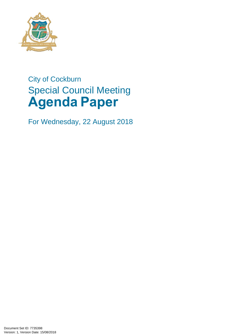

# City of Cockburn Special Council Meeting **Agenda Paper**

For Wednesday, 22 August 2018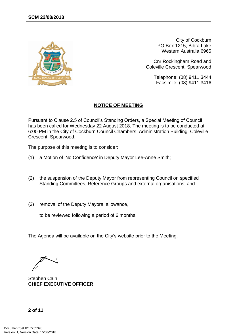

City of Cockburn PO Box 1215, Bibra Lake Western Australia 6965

Cnr Rockingham Road and Coleville Crescent, Spearwood

> Telephone: (08) 9411 3444 Facsimile: (08) 9411 3416

#### **NOTICE OF MEETING**

Pursuant to Clause 2.5 of Council's Standing Orders, a Special Meeting of Council has been called for Wednesday 22 August 2018. The meeting is to be conducted at 6:00 PM in the City of Cockburn Council Chambers, Administration Building, Coleville Crescent, Spearwood.

The purpose of this meeting is to consider:

- (1) a Motion of 'No Confidence' in Deputy Mayor Lee-Anne Smith;
- (2) the suspension of the Deputy Mayor from representing Council on specified Standing Committees, Reference Groups and external organisations; and
- (3) removal of the Deputy Mayoral allowance,

to be reviewed following a period of 6 months.

The Agenda will be available on the City's website prior to the Meeting.

Stephen Cain **CHIEF EXECUTIVE OFFICER**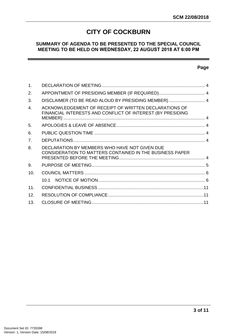# **CITY OF COCKBURN**

#### **SUMMARY OF AGENDA TO BE PRESENTED TO THE SPECIAL COUNCIL MEETING TO BE HELD ON WEDNESDAY, 22 AUGUST 2018 AT 6:00 PM**

#### **Page**

| $\mathbf{1}$ .   |                                                                                                                     |  |
|------------------|---------------------------------------------------------------------------------------------------------------------|--|
| 2.               | APPOINTMENT OF PRESIDING MEMBER (IF REQUIRED) 4                                                                     |  |
| 3.               | DISCLAIMER (TO BE READ ALOUD BY PRESIDING MEMBER)  4                                                                |  |
| $\overline{4}$ . | ACKNOWLEDGEMENT OF RECEIPT OF WRITTEN DECLARATIONS OF<br>FINANCIAL INTERESTS AND CONFLICT OF INTEREST (BY PRESIDING |  |
| 5.               |                                                                                                                     |  |
| 6.               |                                                                                                                     |  |
| 7 <sub>1</sub>   |                                                                                                                     |  |
| 8.               | DECLARATION BY MEMBERS WHO HAVE NOT GIVEN DUE<br><b>CONSIDERATION TO MATTERS CONTAINED IN THE BUSINESS PAPER</b>    |  |
| 9.               |                                                                                                                     |  |
| 10.              |                                                                                                                     |  |
|                  | 10.1                                                                                                                |  |
| 11 <sub>1</sub>  |                                                                                                                     |  |
| 12.              |                                                                                                                     |  |
| 13.              |                                                                                                                     |  |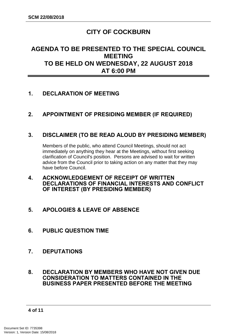# **CITY OF COCKBURN**

# **AGENDA TO BE PRESENTED TO THE SPECIAL COUNCIL MEETING TO BE HELD ON WEDNESDAY, 22 AUGUST 2018 AT 6:00 PM**

## <span id="page-3-0"></span>**1. DECLARATION OF MEETING**

## <span id="page-3-1"></span>**2. APPOINTMENT OF PRESIDING MEMBER (IF REQUIRED)**

### <span id="page-3-2"></span>**3. DISCLAIMER (TO BE READ ALOUD BY PRESIDING MEMBER)**

Members of the public, who attend Council Meetings, should not act immediately on anything they hear at the Meetings, without first seeking clarification of Council's position. Persons are advised to wait for written advice from the Council prior to taking action on any matter that they may have before Council.

- <span id="page-3-3"></span>**4. ACKNOWLEDGEMENT OF RECEIPT OF WRITTEN DECLARATIONS OF FINANCIAL INTERESTS AND CONFLICT OF INTEREST (BY PRESIDING MEMBER)**
- <span id="page-3-4"></span>**5. APOLOGIES & LEAVE OF ABSENCE**
- <span id="page-3-5"></span>**6. PUBLIC QUESTION TIME**
- <span id="page-3-6"></span>**7. DEPUTATIONS**
- <span id="page-3-7"></span>**8. DECLARATION BY MEMBERS WHO HAVE NOT GIVEN DUE CONSIDERATION TO MATTERS CONTAINED IN THE BUSINESS PAPER PRESENTED BEFORE THE MEETING**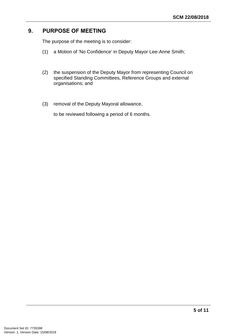# <span id="page-4-0"></span>**9. PURPOSE OF MEETING**

The purpose of the meeting is to consider:

- (1) a Motion of 'No Confidence' in Deputy Mayor Lee-Anne Smith;
- (2) the suspension of the Deputy Mayor from representing Council on specified Standing Committees, Reference Groups and external organisations; and
- (3) removal of the Deputy Mayoral allowance,

to be reviewed following a period of 6 months.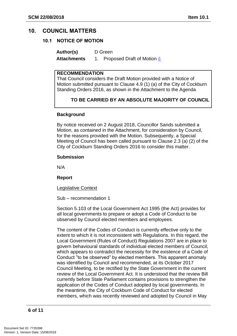### <span id="page-5-1"></span><span id="page-5-0"></span>**10. COUNCIL MATTERS**

#### **10.1 NOTICE OF MOTION**

**Author(s)** D Green **Attachments** 1. Proposed Draft of Motion **[⇩](#page-8-0)** 

#### **RECOMMENDATION**

That Council considers the Draft Motion provided with a Notice of Motion submitted pursuant to Clause 4.9 (1) (a) of the City of Cockburn Standing Orders 2016, as shown in the Attachment to the Agenda

### **TO BE CARRIED BY AN ABSOLUTE MAJORITY OF COUNCIL**

#### **Background**

By notice received on 2 August 2018, Councillor Sands submitted a Motion, as contained in the Attachment, for consideration by Council, for the reasons provided with the Motion. Subsequently, a Special Meeting of Council has been called pursuant to Clause 2.3 (a) (2) of the City of Cockburn Standing Orders 2016 to consider this matter.

#### **Submission**

N/A

**Report**

**Legislative Context** 

Sub – recommendation 1

Section 5.103 of the Local Government Act 1995 (the Act) provides for all local governments to prepare or adopt a Code of Conduct to be observed by Council elected members and employees.

The content of the Codes of Conduct is currently effective only to the extent to which it is not inconsistent with Regulations. In this regard, the Local Government (Rules of Conduct) Regulations 2007 are in place to govern behavioural standards of individual elected members of Council, which appears to contradict the necessity for the existence of a Code of Conduct "to be observed" by elected members. This apparent anomaly was identified by Council and recommended, at its October 2017 Council Meeting, to be rectified by the State Government in the current review of the Local Government Act. It is understood that the review Bill currently before State Parliament contains provisions to strengthen the application of the Codes of Conduct adopted by local governments. In the meantime, the City of Cockburn Code of Conduct for elected members, which was recently reviewed and adopted by Council in May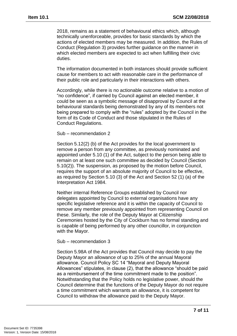2018, remains as a statement of behavioural ethics which, although technically unenforceable, provides for basic standards by which the actions of elected members may be measured. In addition, the Rules of Conduct (Regulation 3) provides further guidance on the manner in which elected members are expected to act when fulfilling their civic duties.

The information documented in both instances should provide sufficient cause for members to act with reasonable care in the performance of their public role and particularly in their interactions with others.

Accordingly, while there is no actionable outcome relative to a motion of "no confidence", if carried by Council against an elected member, it could be seen as a symbolic message of disapproval by Council at the behavioural standards being demonstrated by any of its members not being prepared to comply with the "rules" adopted by the Council in the form of its Code of Conduct and those stipulated in the Rules of Conduct Regulations.

Sub – recommendation 2

Section 5.12(2) (b) of the Act provides for the local government to remove a person from any committee, as previously nominated and appointed under 5.10 (1) of the Act, subject to the person being able to remain on at least one such committee as decided by Council (Section 5.10(2)). The suspension, as proposed by the motion before Council, requires the support of an absolute majority of Council to be effective, as required by Section 5.10 (3) of the Act and Section 52 (1) (a) of the Interpretation Act 1984.

Neither internal Reference Groups established by Council nor delegates appointed by Council to external organisations have any specific legislative reference and it is within the capacity of Council to remove any member previously appointed from representing Council on these. Similarly, the role of the Deputy Mayor at Citizenship Ceremonies hosted by the City of Cockburn has no formal standing and is capable of being performed by any other councillor, in conjunction with the Mayor.

#### Sub – recommendation 3

Section 5.98A of the Act provides that Council may decide to pay the Deputy Mayor an allowance of up to 25% of the annual Mayoral allowance. Council Policy SC 14 "Mayoral and Deputy Mayoral Allowances" stipulates, in clause (2), that the allowance "should be paid as a reimbursement of the time commitment made to the position". Notwithstanding that the Policy holds no legislative power, should the Council determine that the functions of the Deputy Mayor do not require a time commitment which warrants an allowance, it is competent for Council to withdraw the allowance paid to the Deputy Mayor.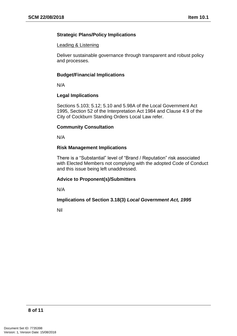#### **Strategic Plans/Policy Implications**

#### Leading & Listening

Deliver sustainable governance through transparent and robust policy and processes.

#### **Budget/Financial Implications**

N/A

#### **Legal Implications**

Sections 5.103; 5.12; 5.10 and 5.98A of the Local Government Act 1995, Section 52 of the Interpretation Act 1984 and Clause 4.9 of the City of Cockburn Standing Orders Local Law refer.

#### **Community Consultation**

N/A

#### **Risk Management Implications**

There is a "Substantial" level of "Brand / Reputation" risk associated with Elected Members not complying with the adopted Code of Conduct and this issue being left unaddressed.

#### **Advice to Proponent(s)/Submitters**

N/A

#### **Implications of Section 3.18(3)** *Local Government Act, 1995*

Nil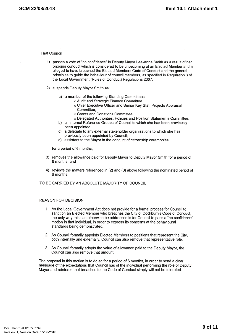<span id="page-8-0"></span>That Council:

- 1) passes a vote of "no confidence" in Deputy Mayor Lee-Anne Smith as a result of her ongoing conduct which is considered to be unbecoming of an Elected Member and is alleged to have breached the Elected Members Code of Conduct and the general principles to guide the behaviour of council members, as specified in Regulation 3 of the Local Government (Rules of Conduct) Regulations 2007:
- 2) suspends Deputy Mayor Smith as:
	- a) a member of the following Standing Committees:
		- o Audit and Strategic Finance Committee
			- o Chief Executive Officer and Senior Key Staff Projects Appraisal Committee.
			- o Grants and Donations Committee,
		- o Delegated Authorities, Policies and Position Statements Committee:
	- b) all Internal Reference Groups of Council to which she has been previously been appointed:
	- a delegate to any external stakeholder organisations to which she has  $c)$ previously been appointed by Council;
	- d) assistant to the Mayor in the conduct of citizenship ceremonies,

for a period of 6 months:

- 3) removes the allowance paid for Deputy Mayor to Deputy Mayor Smith for a period of 6 months; and
- 4) reviews the matters referenced in (2) and (3) above following the nominated period of 6 months

TO BE CARRIED BY AN ABSOLUTE MAJORITY OF COUNCIL

#### **REASON FOR DECISION**

- 1. As the Local Government Act does not provide for a formal process for Council to sanction an Elected Member who breaches the City of Cockburn's Code of Conduct. the only way this can otherwise be addressed is for Council to pass a "no confidence" motion in that individual, in order to express its concerns at the behavioural standards being demonstrated.
- 2. As Council formally appoints Elected Members to positions that represent the City. both internally and externally, Council can also remove that representative role.
- 3. As Council formally adopts the value of allowance paid to the Deputy Mayor, the Council can also remove that amount.

The proposal in this motion is to do so for a period of 6 months, in order to send a clear message of the expectations that Council has of the individual performing the role of Deputy Mayor and reinforce that breaches to the Code of Conduct simply will not be tolerated.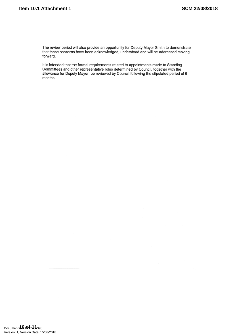The review period will also provide an opportunity for Deputy Mayor Smith to demonstrate that these concerns have been acknowledged, understood and will be addressed moving forward.

It is intended that the formal requirements related to appointments made to Standing Committees and other representative roles determined by Council, together with the allowance for Deputy Mayor, be reviewed by Council following the stipulated period of 6 months.